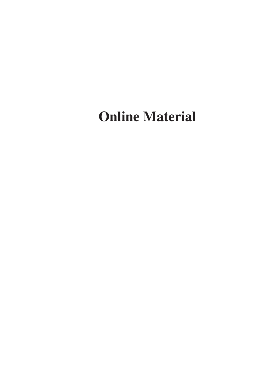# **Online Material**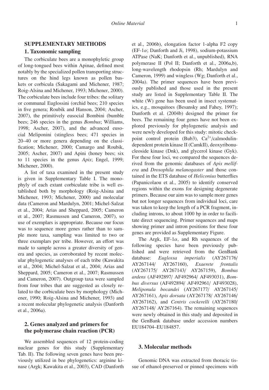## **SUPPLEMENTARY METHODS**

### **1. Taxonomic sampling**

The corbiculate bees are a monophyletic group of long-tongued bees within Apinae, defined most notably by the specialized pollen transporting structures on the hind legs known as pollen baskets or corbicula (Sakagami and Michener, 1987; Roig-Alsina and Michener, 1993; Michener, 2000). The corbiculate bees include four tribes: the solitary or communal Euglossini (orchid bees; 210 species in five genera; Roubik and Hanson, 2004; Ascher, 2007), the primitively eusocial Bombini (bumble bees; 246 species in the genus *Bombus*; Williams, 1998; Ascher, 2007), and the advanced eusocial Meliponini (stingless bees; 471 species in 20–40 or more genera depending on the classification; Michener, 2000; Camargo and Roubik, 2005; Ascher, 2007) and Apini (honey bees; six to 11 species in the genus *Apis*; Engel, 1999; Michener, 2000).

A list of taxa examined in the present study is given in Supplementary Table I. The monophyly of each extant corbiculate tribe is well established both by morphology (Roig-Alsina and Michener, 1993; Michener, 2000) and molecular data (Cameron and Mardulyn, 2001; Michel-Salzat et al., 2004; Arias and Sheppard, 2005; Cameron et al., 2007; Rasmussen and Cameron, 2007), so use of exemplars is appropriate. Because our focus was to sequence more genes rather than to sample more taxa, sampling was limited to two or three exemplars per tribe. However, an effort was made to sample across a greater diversity of genera and species, as corroborated by recent molecular phylogenetic analyses of each tribe (Kawakita et al., 2004; Michel-Salzat et al., 2004; Arias and Sheppard, 2005; Cameron et al., 2007; Rasmussen and Cameron, 2007). Outgroup taxa were sampled from four tribes that are suggested as closely related to the corbiculate bees by morphology (Michener, 1990; Roig-Alsina and Michener, 1993) and a recent molecular phylogenetic analysis (Danforth et al., 2006a).

## **2. Genes analyzed and primers for the polymerase chain reaction (PCR)**

We assembled sequences of 12 protein-coding nuclear genes for this study (Supplementary Tab. II). The following seven genes have been previously utilized in bee phylogenetics: arginine kinase (Argk; Kawakita et al., 2003), CAD (Danforth et al., 2006b), elongation factor 1-alpha F2 copy  $(EF-1\alpha;$  Danforth and Ji, 1998), sodium-potassium ATPase (NaK; Danforth et al., unpublished), RNA polymerase II (Pol II; Danforth et al., 2006a,b), long-wavelength rhodopsin (Rh; Mardulyn and Cameron, 1999) and wingless (Wg; Danforth et al., 2004a). The primer sequences have been previously published and those used in the present study are listed in Supplementary Table II. The white (W) gene has been used in insect systematics, e.g., mosquitoes (Besansky and Fahey, 1997); Danforth et al. (2004b) designed the primer for bees. The remaining four genes have not been explored previously for phylogenetic analysis and were newly developed for this study: mitotic checkpoint control protein (Bub3),  $Ca^{2+}/cal$ calmodulindependent protein kinase II (CamkII), deoxyribonucleoside kinase (Dnk), and glycerol kinase (Gyk). For these four loci, we compared the sequences derived from the genomic databases of *Apis mellifera* and *Drosophila melanogaster* and those contained in the ETS database of *Heliconius* butterflies (Papanicolaou et al., 2005) to identify conserved regions within the exons for designing degenerate primers. Because our aim was to sample more genes but not longer sequences from individual loci, care was taken to keep the length of a PCR fragment, including introns, to about 1000 bp in order to facilitate direct sequencing. Primer sequences and maps showing primer and intron positions for these four genes are provided as Supplementary Figure.

The Argk,  $EF-1\alpha$ , and Rh sequences of the following species have been previously published and were retrieved from the GenBank database: *Euglossa imperialis* (AY267176/ AY267144/ AY267160), *Exaerete frontalis* (AY267175/ AY267143/ AY267159), *Bombus ardens* (AF492897/ AF492964/ AF493031), *Bombus diversus* (AF492894/ AF492961/ AF493028), *Meliponula bocandei* (AY267177/ AY267145/ AY267161), *Apis dorsata* (AY267178/ AY267146/ AY267162), and *Centris cockerelli* (AY267180/ AY267148/ AY267164). The remaining sequences were newly obtained in this study and deposited in the GenBank database under accession numbers EU184704–EU184857.

#### **3. Molecular methods**

Genomic DNA was extracted from thoracic tissue of ethanol-preserved or pinned specimens with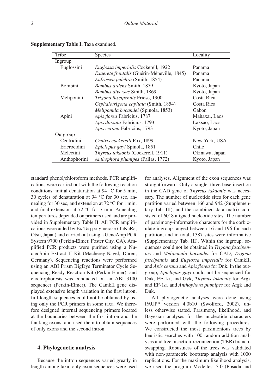| Tribe          | <b>Species</b>                                     | Locality       |
|----------------|----------------------------------------------------|----------------|
| Ingroup        |                                                    |                |
| Euglossini     | Euglossa imperialis Cockerell, 1922                | Panama         |
|                | <i>Exaerete frontalis</i> (Guérin-Méneville, 1845) | Panama         |
|                | Eufriesea pulchra (Smith, 1854)                    | Panama         |
| <b>Bombini</b> | <i>Bombus ardens Smith, 1879</i>                   | Kyoto, Japan   |
|                | <i>Bombus diversus Smith, 1869</i>                 | Kyoto, Japan   |
| Meliponini     | <i>Trigona fuscipennis Friese, 1900</i>            | Costa Rica     |
|                | Cephalotrigona capitata (Smith, 1854)              | Costa Rica     |
|                | Meliponula bocandei (Spinola, 1853)                | Gabon          |
| Apini          | Apis florea Fabricius, 1787                        | Mahaxai, Laos  |
|                | Apis dorsata Fabricius, 1793                       | Laksao, Laos   |
|                | Apis cerana Fabricius, 1793                        | Kyoto, Japan   |
| Outgroup       |                                                    |                |
| Centridini     | Centris cockerelli Fox, 1899                       | New York, USA  |
| Ericrocidini   | Epiclopus gayi Spinola, 1851                       | Chile          |
| Melectini      | Thyreus takaonis (Cockerell, 1911)                 | Okinawa, Japan |
| Anthophorini   | Anthophora plumipes (Pallas, 1772)                 | Kyoto, Japan   |

**Supplementary Table I.** Taxa examined.

standard phenol/chloroform methods. PCR amplifications were carried out with the following reaction conditions: initial denaturation at 94 ◦C for 5 min, 30 cycles of denaturation at 94 ◦C for 30 sec, annealing for 30 sec, and extension at 72 ◦C for 1 min, and final extension at 72 ◦C for 7 min. Annealing temperatures depended on primers used and are provided in Supplementary Table II. All PCR amplifications were aided by Ex Taq polymerase (TaKaRa, Otsu, Japan) and carried out using a GeneAmp PCR System 9700 (Perkin-Elmer, Foster City, CA). Amplified PCR products were purified using a NucleoSpin Extract II Kit (Macherey-Nagel, Düren, Germany). Sequencing reactions were performed using an ABI Prism BigDye Terminator Cycle Sequencing Ready Reaction Kit (Perkin-Elmer), and eloctrophoresis was conducted on an ABI 3100 sequencer (Perkin-Elmer). The CamkII gene displayed extensive length variation in the first intron; full-length sequences could not be obtained by using only the PCR primers in some taxa. We therefore designed internal sequencing primers located at the boundaries between the first intron and the flanking exons, and used them to obtain sequences of only exons and the second intron.

#### **4. Phylogenetic analysis**

Because the intron sequences varied greatly in length among taxa, only exon sequences were used

for analyses. Alignment of the exon sequences was straightforward. Only a single, three-base insertion in the CAD gene of *Thyreus takaonis* was necessary. The number of nucleotide sites for each gene partition varied between 166 and 942 (Supplementary Tab. III), and the combined data matrix consisted of 6018 aligned nucleotide sites. The number of parsimony-informative characters for the corbiculate ingroup ranged between 16 and 196 for each partition, and in total, 1387 sites were informative (Supplementary Tab. III). Within the ingroup, sequences could not be obtained in *Trigona fuscipennis* and *Meliponula bocandei* for CAD, *Trigona fuscipennis* and *Euglossa imperialis* for CamkII, and *Apis cerana* and *Apis florea* for Dnk. In the outgroup, *Epiclopus gayi* could not be sequenced for Dnk, EF-1α, and Gyk, *Thyreus takaonis* for Argk and EF-1α, and *Anthophora plumipes* for Argk and Dnk.

All phylogenetic analyses were done using PAUP\* version 4.0b10 (Swofford, 2002), unless otherwise stated. Parsimony, likelihood, and Bayesian analyses for the nucleotide characters were performed with the following procedures. We constructed the most parsimonious trees by heuristic searches with 100 random addition analyses and tree bisection-reconnection (TBR) branchswapping. Robustness of the trees was validated with non-parametric bootstrap analysis with 1000 replications. For the maximum likelihood analysis, we used the program Modeltest 3.0 (Posada and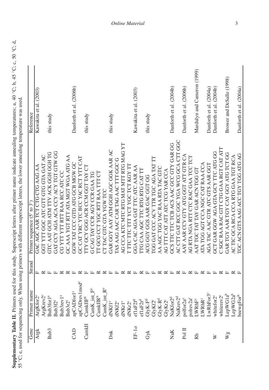| こっし こうこ<br>Co Cu<br>Dualus, a, fl, D, Fl, D, Fl, C, C, C, C,<br>こっこ さいこ                                                                                       |                                                                                                                  |
|---------------------------------------------------------------------------------------------------------------------------------------------------------------|------------------------------------------------------------------------------------------------------------------|
| ACTOR OF<br>$1100T$ tamm<br>imer name indicate annealing<br>when prime<br>commit lattare attar m<br>me inced for this study Circomo-<br><sup>:</sup><br>www.i | į<br>י ייתר<br>content lattare tha low<br><b>DATANA TANA ANTINE</b><br>j<br>$-1$<br>Š<br>/ hen 11<br>;<br>i<br>j |
| I                                                                                                                                                             |                                                                                                                  |
| ı<br>í                                                                                                                                                        |                                                                                                                  |

| Gene             | Primer name                                  | Strand | Primer sequence $(5'$ to $3')$         | Reference                   |
|------------------|----------------------------------------------|--------|----------------------------------------|-----------------------------|
| Argk             | ArgKfor2°                                    |        | GAC AGC AAR TCT CTG CTG AAG AA         | Kawakita et al. (2003)      |
|                  | ArgKrev2 <sup>c</sup>                        | ≃      | SGT YTT GGC ATC GTT GTA GAT AC         |                             |
| Bub <sub>3</sub> | Bub3for1 <sup>a</sup>                        |        | GTC AAT GCH ATM TTV ACK GGH GGH TG     | this study                  |
|                  | Bub3f2 <sup>c</sup>                          |        | GAT CCY AGA ACA CCY ACY TGT GTW GG     |                             |
|                  | Bub3rev1 <sup>a</sup>                        |        | CG YTT YTT RTT RAA RCC ATC CC          |                             |
|                  | Bub3r2 <sup>c</sup>                          |        | GC AAA YGT RTT ATA MGT WGA ATG AA      |                             |
| CAD              | apCADfor1 <sup>c</sup>                       |        | GGW TAT CCC GTD ATG GCB MGW GC         | Danforth et al. (2006b)     |
|                  | apCADrev1mod <sup>c</sup>                    |        | GC CAT YRC YTC BCC YAC RCT YTT CAT     |                             |
| CamklI           | CamklIF <sup>b</sup>                         |        | ITY GCY GGG ACR CCM GGT TAY            | this study                  |
|                  | CamK int F <sup>e</sup>                      |        | G CAG TAY CCR AGY CCR GAA TG           |                             |
|                  | CamKIR <sup>b</sup>                          |        | IT GCG CCT YGC RTT RAA TTT CT          |                             |
|                  | $CamK_1int_R$ <sup>e</sup>                   |        | CT TAC GTC GTA YGW TCC                 |                             |
| Dnk              | <b>INKf1°</b>                                |        | GAR GGY AAY ATM GGH AGC GGK AAR AC     | this study                  |
|                  | <b>INKf2c</b>                                |        | IAS AAG AAC CAR TAG AAC TIT GGC G      |                             |
|                  | <b>INKr1°</b>                                |        | AG CCA KTC MTC RTG MAT MTT RTG MAG YT  |                             |
|                  | <b>INKr2°</b>                                |        | I TTC TTC TTT YCT YGC TCT KGY TT       |                             |
| EF- $1\alpha$    | ef1aF2f <sup>d</sup>                         |        | GGA CAC AGA GAT TTC ATC AAR AA         | Kawakita et al. (2003)      |
|                  | orCHat Te                                    |        | <b>ITG CAA AGC TTC RTG RTG CAT TT</b>  |                             |
| Gyk              | $GlyK-Fd$                                    |        | ACG GGY GGS AAR GAC GGT GG             | this study                  |
|                  | GlyKf2°                                      |        | IGG GAT CCC ACV TTR TGC AGA TAT TT     |                             |
|                  | $GlyK-Rd$                                    |        | AA AGC TGG YAC RAA RTA TAC GTC         |                             |
|                  | GlyKr2°                                      |        | AG TIT CAT ATT ATC TCG YAR CCA         |                             |
| NaK              | NaKfor2 <sup>d</sup>                         |        | GCS TTC TTC TCB ACS AAC GCC GTY GAR GG | Danforth et al. (2004b)     |
|                  | VaKrev2 <sup>d</sup>                         |        | AC CTT GAT RCC GGC YGA WCG GCA CTT GGC |                             |
| Pol II           | polfor <sub>2a</sub> c                       |        | AAY AAR CCV GTY ATG GGT ATT GTR CA     | Danforth et al. (2006b)     |
|                  | polrev2a <sup>c</sup>                        |        | AG RTA NGA RIT CTC RAC GAA TCC TCT     |                             |
| Rh               | $\mathbf{W}\mathbf{R}\mathbf{h}\mathbf{F}^c$ |        | AAT TGC TAT TAY GAR ACN TGG GT         | Mardulyn and Cameron (1999) |
|                  | <b>WRhR</b> <sup>c</sup>                     |        | ATA TGG AGT CCA NGC CAT RAA CCA        |                             |
|                  | .wRhFor3c                                    |        | AGA TAC AAC GTR ATC GTS AAR GGT        | Danforth et al. (2004a)     |
|                  | whitefor <sub>2</sub> c                      |        | GCT GAR GGW AGA GTA GCY TTC ATG GG     | Danforth et al. (2004b)     |
|                  | whiterev2 <sup>c</sup>                       |        | C SGC RAA RAC GTT CTG GAA RGT CAT ATT  |                             |
| $W_g$            | LepWG1a <sup>b</sup>                         |        | GAR TGY AAR TGY CAY GGY ATG TCT GG     | Brower and DeSalle (1998)   |
|                  | LepWG2a <sup>b</sup>                         |        | AC TIC GCA RCA CCA RTG GAA TGT RCA     |                             |
|                  | beewgForb                                    |        | TGC ACN GTS AAG ACC TGY TGG ATG AG     | Danforth et al. (2004a)     |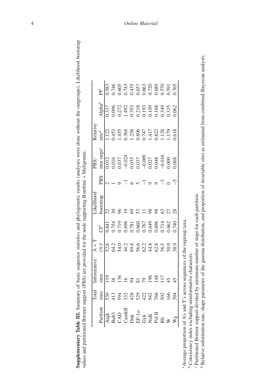|                                                                                                                                                                                                                                                                                                                                                                                                                                                                                            | <b>Fotal</b> | Informative      | $A + T$        |                                                    | Likelihood |     | PBS/                                                                                                                                                | Relative                                                 |                                                                   |                                                             |
|--------------------------------------------------------------------------------------------------------------------------------------------------------------------------------------------------------------------------------------------------------------------------------------------------------------------------------------------------------------------------------------------------------------------------------------------------------------------------------------------|--------------|------------------|----------------|----------------------------------------------------|------------|-----|-----------------------------------------------------------------------------------------------------------------------------------------------------|----------------------------------------------------------|-------------------------------------------------------------------|-------------------------------------------------------------|
| Parition                                                                                                                                                                                                                                                                                                                                                                                                                                                                                   | sites        | sites            | $(\%)^{\rm a}$ | ů                                                  | bootstrap  | PBS | min steps <sup>c</sup>                                                                                                                              | rate <sup>d</sup>                                        | Alpha <sup>d</sup>                                                | PId                                                         |
|                                                                                                                                                                                                                                                                                                                                                                                                                                                                                            | 530          | $\widehat{=}$    |                | 0.641                                              | 32         |     |                                                                                                                                                     | 1.122                                                    |                                                                   | 0.583                                                       |
|                                                                                                                                                                                                                                                                                                                                                                                                                                                                                            | 113          | 38               |                |                                                    |            |     |                                                                                                                                                     |                                                          |                                                                   |                                                             |
|                                                                                                                                                                                                                                                                                                                                                                                                                                                                                            | 54           |                  |                |                                                    |            |     |                                                                                                                                                     |                                                          |                                                                   |                                                             |
| $\begin{array}{l} \mathcal{A}\texttt{rgb}\\ \texttt{Bub3}\\ \texttt{CAD}\\ \texttt{Camkl}\\ \texttt{Camkl}\\ \texttt{Camkl}\\ \texttt{Cumkl}\\ \texttt{Cumkl}\\ \texttt{Cumkl}\\ \texttt{Cumkl}\\ \texttt{Cumkl}\\ \texttt{Cumkl}\\ \texttt{Cumkl}\\ \texttt{Cumkl}\\ \texttt{Cumkl}\\ \texttt{Cumkl}\\ \texttt{Cumkl}\\ \texttt{Cumkl}\\ \texttt{Cumkl}\\ \texttt{Cumkl}\\ \texttt{Cumkl}\\ \texttt{Cumkl}\\ \texttt{Cumkl}\\ \texttt{Cumkl}\\ \texttt{Cumkl}\\ \texttt{Cumkl}\\ \texttt$ | 328          | $\frac{156}{16}$ |                | 0.754<br>0.719<br>0.660<br>0.649<br>0.649<br>0.649 |            |     | $\begin{array}{l} 0.012 \\ 0.016 \\ 0.037 \\ 0.033 \\ 0.033 \\ 0.037 \\ 0.037 \\ 0.037 \\ 0.037 \\ 0.037 \\ 0.037 \\ 0.048 \\ 0.016 \\ \end{array}$ | 0.453<br>1.455 88<br>1.258 86<br>1.417<br>1.417<br>1.128 | 0.337<br>0.096<br>0.272<br>0.703<br>0.108<br>0.335<br>0.000 0.335 | 0.746<br>0.605<br>0.743<br>0.657<br>0.689<br>0.591<br>0.591 |
|                                                                                                                                                                                                                                                                                                                                                                                                                                                                                            |              |                  |                |                                                    |            |     |                                                                                                                                                     |                                                          |                                                                   |                                                             |
|                                                                                                                                                                                                                                                                                                                                                                                                                                                                                            | 529          | $\overline{81}$  |                |                                                    |            |     |                                                                                                                                                     |                                                          |                                                                   |                                                             |
|                                                                                                                                                                                                                                                                                                                                                                                                                                                                                            |              | $\tilde{\omega}$ |                |                                                    |            |     |                                                                                                                                                     |                                                          |                                                                   |                                                             |
|                                                                                                                                                                                                                                                                                                                                                                                                                                                                                            | 742          | $\frac{8}{6}$    |                |                                                    |            |     |                                                                                                                                                     |                                                          |                                                                   |                                                             |
|                                                                                                                                                                                                                                                                                                                                                                                                                                                                                            | 166          | 148              |                |                                                    |            |     |                                                                                                                                                     |                                                          |                                                                   |                                                             |
|                                                                                                                                                                                                                                                                                                                                                                                                                                                                                            | 502          |                  |                |                                                    |            |     |                                                                                                                                                     |                                                          |                                                                   |                                                             |
|                                                                                                                                                                                                                                                                                                                                                                                                                                                                                            | 66           |                  |                | 1,662                                              |            |     | 000                                                                                                                                                 | 1.179                                                    |                                                                   |                                                             |
| $W_{g}$                                                                                                                                                                                                                                                                                                                                                                                                                                                                                    | $\tilde{5}$  |                  | 38.9           | 0.740                                              |            |     | 0.68                                                                                                                                                | 0.618                                                    |                                                                   | 0.765                                                       |

<sup>c</sup> Partitioned Bremer support divided by minimum number of steps for each partition. Partitioned Bremer support divided by minimum number of steps for each partition.

<sup>d</sup> Relative substitution rate, shape parameter of the gamma distribution, and proportion of invariable sites as estimated from combined Bayesian analysis. Relative substitution rate, shape parameter of the gamma distribution, and proportion of invariable sites as estimated from combined Bayesian analysis.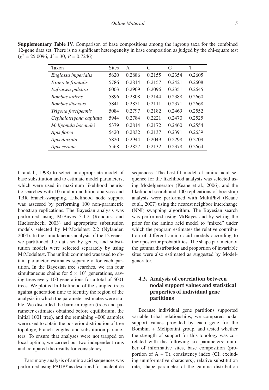**Supplementary Table IV.** Comparison of base compositions among the ingroup taxa for the combined 12-gene data set. There is no significant heterogeneity in base composition as judged by the chi-square test  $(x^2 = 25.0096, df = 30, P = 0.7246).$ 

| Taxon                   | <b>Sites</b> | A      | C      | G      | T      |
|-------------------------|--------------|--------|--------|--------|--------|
| Euglossa imperialis     | 5620         | 0.2886 | 0.2155 | 0.2354 | 0.2605 |
| Exaerete frontalis      | 5786         | 0.2814 | 0.2157 | 0.2421 | 0.2608 |
| Eufriesea pulchra       | 6003         | 0.2909 | 0.2096 | 0.2351 | 0.2645 |
| Bombus ardens           | 5896         | 0.2808 | 0.2144 | 0.2388 | 0.2660 |
| Bombus diversus         | 5841         | 0.2851 | 0.2111 | 0.2371 | 0.2668 |
| Trigona fuscipennis     | 5084         | 0.2797 | 0.2182 | 0.2469 | 0.2552 |
| Cephalotrigona capitata | 5944         | 0.2784 | 0.2221 | 0.2470 | 0.2525 |
| Meliponula bocandei     | 5379         | 0.2814 | 0.2172 | 0.2460 | 0.2554 |
| Apis florea             | 5420         | 0.2832 | 0.2137 | 0.2391 | 0.2639 |
| Apis dorsata            | 5820         | 0.2944 | 0.2049 | 0.2298 | 0.2709 |
| Apis cerana             | 5568         | 0.2827 | 0.2132 | 0.2378 | 0.2664 |

Crandall, 1998) to select an appropriate model of base substitution and to estimate model parameters, which were used in maximum likelihood heuristic searches with 10 random addition analyses and TBR branch-swapping. Likelihood node support was assessed by performing 100 non-parametric bootstrap replications. The Bayesian analysis was performed using MrBayes 3.1.2 (Ronquist and Huelsenbeck, 2003) and appropriate substitution models selected by MrModeltest 2.2 (Nylander, 2004). In the simultaneous analysis of the 12 genes, we partitioned the data set by genes, and substitution models were selected separately by using MrModeltest. The unlink command was used to obtain parameter estimates separately for each partition. In the Bayesian tree searches, we ran four simultaneous chains for  $5 \times 10^5$  generations, saving trees every 100 generations for a total of 5001 trees. We plotted ln-likelihood of the sampled trees against generation time to identify the region of the analysis in which the parameter estimates were stable. We discarded the burn-in region (trees and parameter estimates obtained before equilibrium; the initial 1001 tree), and the remaining 4000 samples were used to obtain the posterior distribution of tree topology, branch lengths, and substitution parameters. To ensure that analyses were not trapped on local optima, we carried out two independent runs and compared the results for consistency.

Parsimony analysis of amino acid sequences was performed using PAUP\* as described for nucleotide sequences. The best-fit model of amino acid sequence for the likelihood analysis was selected using Modelgenerator (Keane et al., 2006), and the likelihood search and 100 replications of bootstrap analysis were performed with MultiPhyl (Keane et al., 2007) using the nearest neighbor interchange (NNI) swapping algorithm. The Bayesian search was performed using MrBayes and by setting the prior for the amino acid model to "mixed" under which the program estimates the relative contribution of different amino acid models according to their posterior probabilities. The shape parameter of the gamma distribution and proportion of invariable sites were also estimated as suggested by Modelgenerator.

## **4.3. Analysis of correlation between nodal support values and statistical properties of individual gene partitions**

Because individual gene partitions supported variable tribal relationships, we compared nodal support values provided by each gene for the Bombini + Meliponini group, and tested whether the strength of support for this topology was correlated with the following six parameters: number of informative sites, base composition (proportion of  $A + T$ ), consistency index (CI; excluding uninformative characters), relative substitution rate, shape parameter of the gamma distribution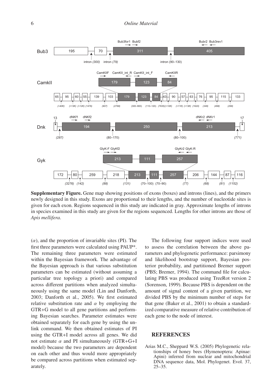

**Supplementary Figure.** Gene map showing positions of exons (boxes) and introns (lines), and the primers newly designed in this study. Exons are proportional to their lengths, and the number of nucleotide sites is given for each exon. Regions sequenced in this study are indicated in gray. Approximate lengths of introns in species examined in this study are given for the regions sequenced. Lengths for other introns are those of *Apis mellifera*.

 $(\alpha)$ , and the proportion of invariable sites (PI). The first three parameters were calculated using PAUP\*. The remaining three parameters were estimated within the Bayesian framework. The advantage of the Bayesian approach is that various substitution parameters can be estimated (without assuming a particular tree topology a priori) and compared across different partitions when analyzed simultaneously using the same model (Lin and Danforth, 2003; Danforth et al., 2005). We first estimated relative substitution rate and  $\alpha$  by employing the GTR+G model to all gene partitions and performing Bayesian searches. Parameter estimates were obtained separately for each gene by using the unlink command. We then obtained estimates of PI using the GTR+I model across all genes. We did not estimate  $\alpha$  and PI simultaneously (GTR+G+I model) because the two parameters are dependent on each other and thus would more appropriately be compared across partitions when estimated separately.

The following four support indices were used to assess the correlation between the above parameters and phylogenetic performance: parsimony and likelihood bootstrap support, Bayesian posterior probability, and partitioned Bremer support (PBS; Bremer, 1994). The command file for calculating PBS was produced using TreeRot version 2 (Sorenson, 1999). Because PBS is dependent on the amount of signal content of a given partition, we divided PBS by the minimum number of steps for that gene (Baker et al., 2001) to obtain a standardized comparative measure of relative contribution of each gene to the node of interest.

#### **REFERENCES**

Arias M.C., Sheppard W.S. (2005) Phylogenetic relationships of honey bees (Hymenoptera: Apinae: Apini) inferred from nuclear and mitochondrial DNA sequence data, Mol. Phylogenet. Evol. 37, 25–35.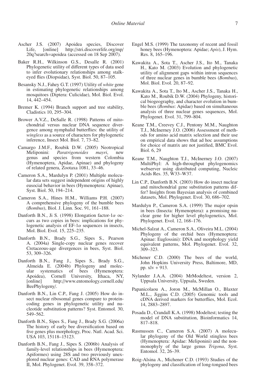- Ascher J.S. (2007) Apoidea species, Discover<br>Life, [online] http://stri.discoverlife.org/mp/ [online] http://stri.discoverlife.org/mp/ 20q?search=apoidea (accessed on 18 Sep 2007).
- Baker R.H., Wilkinson G.S., Desalle R. (2001) Phylogenetic utility of different types of data used to infer evolutionary relationships among stalkeyed flies (Diopsidae), Syst. Biol. 50, 87–105.
- Besansky N.J., Fahey G.T. (1997) Utility of *white* gene in estimating phylogenetic relationships among mosquitoes (Diptera: Culicidae), Mol. Biol. Evol. 14, 442–454.
- Bremer K. (1994) Branch support and tree stability, Cladistics 10, 295–304.
- Brower A.V.Z., DeSalle R. (1998) Patterns of mitochondrial versus nuclear DNA sequence divergence among nymphalid butterflies: the utility of *wingless* as a source of characters for phylogenetic inference, Insect Mol. Biol. 7, 73–82.
- Camargo J.M.F., Roubik D.W. (2005) Neotropical<br>Meliponini: *Paratrigonoides mayri*, new *Paratrigonoides mayri*, new genus and species from western Colombia (Hymenoptera, Apidae, Apinae) and phylogeny of related genera, Zootaxa 1081, 33–46.
- Cameron S.A., Mardulyn P. (2001) Multiple molecular data sets suggest independent origins of highly eusocial behavior in bees (Hymenoptera: Apinae), Syst. Biol. 50, 194–214.
- Cameron S.A., Hines H.M., Williams P.H. (2007) A comprehensive phylogeny of the bumble bees (*Bombus*), Biol. J. Linn. Soc. 91, 161–188.
- Danforth B.N., Ji S. (1998) Elongation factor- $1\alpha$  occurs as two copies in bees: implications for phylogenetic analysis of  $EF-1\alpha$  sequences in insects, Mol. Biol. Evol. 15, 225–235.
- Danforth B.N., Brady S.G., Sipes S., Pearson A. (2004a) Single-copy nuclear genes recover Cretaceous-age divergences in bees, Syst. Biol. 53, 309–326.
- Danforth B.N., Fang J., Sipes S., Brady S.G., Almeida E. (2004b) Phylogeny and molecular systematics of bees (Hymenoptera: Apoidea), Cornell University, Ithaca, NY, [online] http://www.entomology.cornell.edu/ BeePhylogeny/.
- Danforth B.N., Lin C.P., Fang J. (2005) How do insect nuclear ribosomal genes compare to proteincoding genes in phylogenetic utility and nucleotide substitution patterns? Syst. Entomol. 30, 549–562.
- Danforth B.N., Sipes S., Fang J., Brady S.G. (2006a) The history of early bee diversification based on five genes plus morphology, Proc. Natl. Acad. Sci. USA 103, 15118–15123.
- Danforth B.N., Fang J., Sipes S. (2006b) Analysis of family-level relationships in bees (Hymenoptera: Apiformes) using 28S and two previously unexplored nuclear genes: CAD and RNA polymerase II, Mol. Phylogenet. Evol. 39, 358–372.
- Engel M.S. (1999) The taxonomy of recent and fossil honey bees (Hymenoptera: Apidae; *Apis*), J. Hym. Res. 8, 165–196.
- Kawakita A., Sota T., Ascher J.S., Ito M., Tanaka H., Kato M. (2003) Evolution and phylogenetic utility of alignment gaps within intron sequences of three nuclear genes in bumble bees (*Bombus*), Mol. Biol. Evol. 20, 87–92.
- Kawakita A., Sota T., Ito M., Ascher J.S., Tanaka H., Kato M., Roubik D.W. (2004) Phylogeny, historical biogeography, and character evolution in bumble bees (*Bombus*: Apidae) based on simultaneous analysis of three nuclear genes sequences, Mol. Phylogenet. Evol. 31, 799–804.
- Keane T.M., Creevey C.J., Pentony M.M., Naughton T.J., McInerney J.O. (2006) Assessment of methods for amino acid matrix selection and their use on empirical data shows that ad hoc assumptions for choice of matrix are not justified, BMC Evol. Biol. 6, 29
- Keane T.M., Naughton T.J., McInerney J.O. (2007) MultiPhyl: A high-throughput phylogenomics webserver using distributed computing, Nucleic Acids Res. 35, W33–W37.
- Lin C.P., Danforth B.N. (2003) How do insect nuclear and mitochondrial gene substitution patterns differ? Insights from Bayesian analysis of combined datasets, Mol. Phylogenet. Evol. 30, 686–702.
- Mardulyn P., Cameron S.A. (1999) The major opsin in bees (Insecta: Hymenoptera): a promising nuclear gene for higher level phylogenetics, Mol. Phylogenet. Evol. 12, 168–176.
- Michel-Salzat A., Cameron S.A., Oliveira M.L. (2004) Phylogeny of the orchid bees (Hymenoptera: Apinae: Euglossini): DNA and morphology yield equivalent patterns, Mol. Phylogenet. Evol. 32, 309–323.
- Michener C.D. (2000) The bees of the world, John Hopkins University Press, Baltimore, MD, pp. xlv + 913.
- Nylander J.A.A. (2004) MrModeltest, version 2, Uppsala University, Uppsala, Sweden.
- Papanicolaou A., Joron M., McMillan O., Blaxter M.L., Jiggins C.D. (2005) Genomic tools and cDNA derived markers for butterflies, Mol. Ecol. 14, 2883–2897.
- Posada D., Crandall K.A. (1998) Modeltest; testing the model of DNA substitution, Bioinformatics 14, 817–818.
- Rasmussen C., Cameron S.A. (2007) A molecular phylogeny of the Old World stingless bees (Hymenoptera: Apidae: Meliponini) and the nonmonophyly of the large genus *Trigona*, Syst. Entomol. 32, 26–39.
- Roig-Alsina A., Michener C.D. (1993) Studies of the phylogeny and classification of long-tongued bees